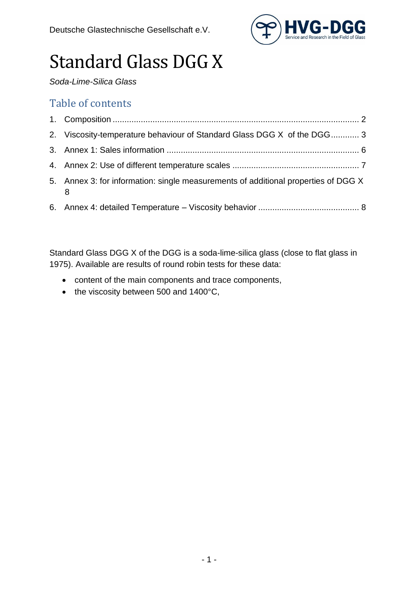

# Standard Glass DGG X

*Soda-Lime-Silica Glass*

#### Table of contents

|     | 2. Viscosity-temperature behaviour of Standard Glass DGG X of the DGG 3            |  |
|-----|------------------------------------------------------------------------------------|--|
|     |                                                                                    |  |
|     |                                                                                    |  |
| - 8 | 5. Annex 3: for information: single measurements of additional properties of DGG X |  |
|     |                                                                                    |  |

Standard Glass DGG X of the DGG is a soda-lime-silica glass (close to flat glass in 1975). Available are results of round robin tests for these data:

- content of the main components and trace components,
- the viscosity between 500 and 1400°C,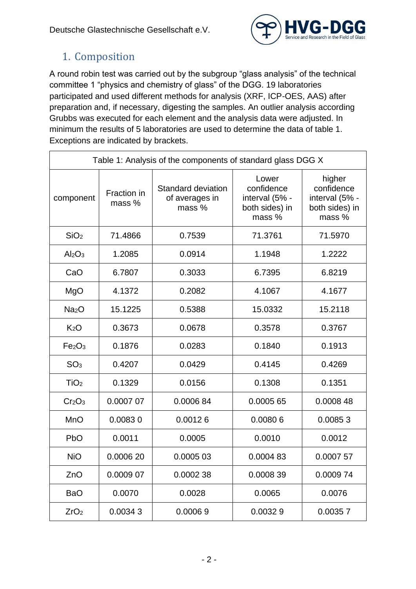

### <span id="page-1-0"></span>1. Composition

A round robin test was carried out by the subgroup "glass analysis" of the technical committee 1 "physics and chemistry of glass" of the DGG. 19 laboratories participated and used different methods for analysis (XRF, ICP-OES, AAS) after preparation and, if necessary, digesting the samples. An outlier analysis according Grubbs was executed for each element and the analysis data were adjusted. In minimum the results of 5 laboratories are used to determine the data of table 1. Exceptions are indicated by brackets.

| Table 1: Analysis of the components of standard glass DGG X |                       |                                                |                                                                   |                                                                    |  |  |  |
|-------------------------------------------------------------|-----------------------|------------------------------------------------|-------------------------------------------------------------------|--------------------------------------------------------------------|--|--|--|
| component                                                   | Fraction in<br>mass % | Standard deviation<br>of averages in<br>mass % | Lower<br>confidence<br>interval (5% -<br>both sides) in<br>mass % | higher<br>confidence<br>interval (5% -<br>both sides) in<br>mass % |  |  |  |
| SiO <sub>2</sub>                                            | 71.4866               | 0.7539                                         | 71.3761                                                           | 71.5970                                                            |  |  |  |
| Al <sub>2</sub> O <sub>3</sub>                              | 1.2085                | 0.0914                                         | 1.1948                                                            | 1.2222                                                             |  |  |  |
| CaO                                                         | 6.7807                | 0.3033                                         | 6.7395                                                            | 6.8219                                                             |  |  |  |
| MgO                                                         | 4.1372                | 0.2082                                         | 4.1067                                                            | 4.1677                                                             |  |  |  |
| Na <sub>2</sub> O                                           | 15.1225               | 0.5388                                         | 15.0332                                                           | 15.2118                                                            |  |  |  |
| K <sub>2</sub> O                                            | 0.3673                | 0.0678                                         | 0.3578                                                            | 0.3767                                                             |  |  |  |
| Fe <sub>2</sub> O <sub>3</sub>                              | 0.1876                | 0.0283                                         | 0.1840                                                            | 0.1913                                                             |  |  |  |
| SO <sub>3</sub>                                             | 0.4207                | 0.0429                                         | 0.4145                                                            | 0.4269                                                             |  |  |  |
| TiO <sub>2</sub>                                            | 0.1329                | 0.0156                                         | 0.1308                                                            | 0.1351                                                             |  |  |  |
| Cr <sub>2</sub> O <sub>3</sub>                              | 0.0007 07             | 0.000684                                       | 0.0005 65                                                         | 0.0008 48                                                          |  |  |  |
| <b>MnO</b>                                                  | 0.00830               | 0.00126                                        | 0.00806                                                           | 0.00853                                                            |  |  |  |
| <b>PbO</b>                                                  | 0.0011                | 0.0005                                         | 0.0010                                                            | 0.0012                                                             |  |  |  |
| <b>NiO</b>                                                  | 0.0006 20             | 0.0005 03                                      | 0.000483                                                          | 0.0007 57                                                          |  |  |  |
| ZnO                                                         | 0.0009 07             | 0.000238                                       | 0.000839                                                          | 0.000974                                                           |  |  |  |
| <b>BaO</b>                                                  | 0.0070                | 0.0028                                         | 0.0065                                                            | 0.0076                                                             |  |  |  |
| ZrO <sub>2</sub>                                            | 0.00343               | 0.00069                                        | 0.00329                                                           | 0.00357                                                            |  |  |  |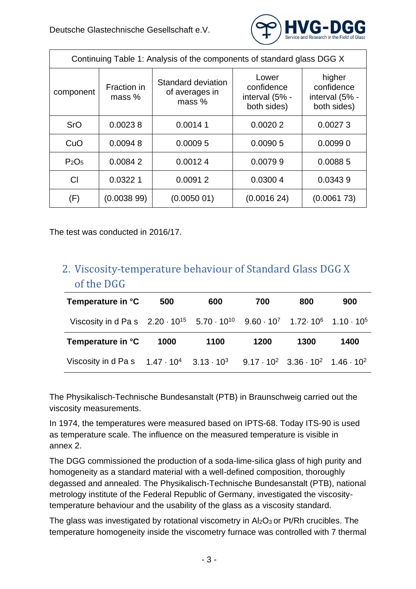

| Continuing Table 1: Analysis of the components of standard glass DGG X |                       |                                                |                                                      |                                                       |  |  |  |  |
|------------------------------------------------------------------------|-----------------------|------------------------------------------------|------------------------------------------------------|-------------------------------------------------------|--|--|--|--|
| component                                                              | Fraction in<br>mass % | Standard deviation<br>of averages in<br>mass % | Lower<br>confidence<br>interval (5% -<br>both sides) | higher<br>confidence<br>interval (5% -<br>both sides) |  |  |  |  |
| <b>SrO</b>                                                             | 0.00238               | 0.00141                                        | 0.00202                                              | 0.00273                                               |  |  |  |  |
| CuO                                                                    | 0.00948<br>0.00095    |                                                | 0.00905                                              | 0.00990                                               |  |  |  |  |
| P <sub>2</sub> O <sub>5</sub>                                          | 0.00842               | 0.00124                                        | 0.00799                                              | 0.00885                                               |  |  |  |  |
| СI                                                                     | 0.03221               | 0.00912                                        | 0.03004                                              | 0.03439                                               |  |  |  |  |
| (F)                                                                    | (0.003899)            | (0.005001)                                     | (0.001624)                                           | (0.006173)                                            |  |  |  |  |

The test was conducted in 2016/17.

#### <span id="page-2-0"></span>2. Viscosity-temperature behaviour of Standard Glass DGG X of the DGG

| Temperature in °C                                                                                                         | 500  | 600  | 700  | 800  | 900  |
|---------------------------------------------------------------------------------------------------------------------------|------|------|------|------|------|
| Viscosity in d Pa s $2.20 \cdot 10^{15}$ 5.70 $\cdot 10^{10}$ 9.60 $\cdot 10^{7}$ 1.72 $\cdot 10^{6}$ 1.10 $\cdot 10^{5}$ |      |      |      |      |      |
|                                                                                                                           |      |      |      |      |      |
| Temperature in °C                                                                                                         | 1000 | 1100 | 1200 | 1300 | 1400 |

The Physikalisch-Technische Bundesanstalt (PTB) in Braunschweig carried out the viscosity measurements.

In 1974, the temperatures were measured based on IPTS-68. Today ITS-90 is used as temperature scale. The influence on the measured temperature is visible in annex 2.

The DGG commissioned the production of a soda-lime-silica glass of high purity and homogeneity as a standard material with a well-defined composition, thoroughly degassed and annealed. The Physikalisch-Technische Bundesanstalt (PTB), national metrology institute of the Federal Republic of Germany, investigated the viscositytemperature behaviour and the usability of the glass as a viscosity standard.

The glass was investigated by rotational viscometry in  $Al_2O_3$  or Pt/Rh crucibles. The temperature homogeneity inside the viscometry furnace was controlled with 7 thermal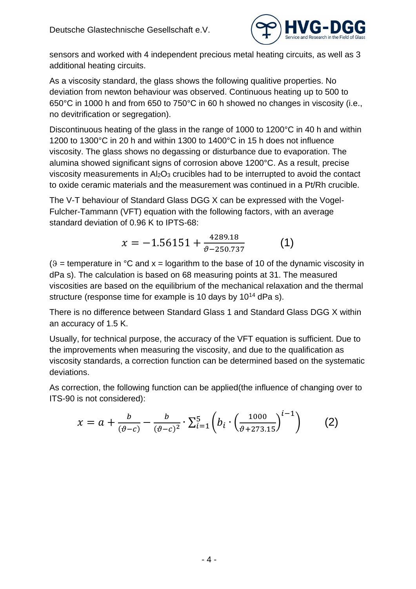

sensors and worked with 4 independent precious metal heating circuits, as well as 3 additional heating circuits.

As a viscosity standard, the glass shows the following qualitive properties. No deviation from newton behaviour was observed. Continuous heating up to 500 to 650°C in 1000 h and from 650 to 750°C in 60 h showed no changes in viscosity (i.e., no devitrification or segregation).

Discontinuous heating of the glass in the range of 1000 to 1200°C in 40 h and within 1200 to 1300°C in 20 h and within 1300 to 1400°C in 15 h does not influence viscosity. The glass shows no degassing or disturbance due to evaporation. The alumina showed significant signs of corrosion above 1200°C. As a result, precise viscosity measurements in Al2O<sup>3</sup> crucibles had to be interrupted to avoid the contact to oxide ceramic materials and the measurement was continued in a Pt/Rh crucible.

The V-T behaviour of Standard Glass DGG X can be expressed with the Vogel-Fulcher-Tammann (VFT) equation with the following factors, with an average standard deviation of 0.96 K to IPTS-68:

$$
x = -1.56151 + \frac{4289.18}{\vartheta - 250.737} \tag{1}
$$

 $(9 =$  temperature in  $°C$  and  $x =$  logarithm to the base of 10 of the dynamic viscosity in dPa s). The calculation is based on 68 measuring points at 31. The measured viscosities are based on the equilibrium of the mechanical relaxation and the thermal structure (response time for example is 10 days by 10<sup>14</sup> dPa s).

There is no difference between Standard Glass 1 and Standard Glass DGG X within an accuracy of 1.5 K.

Usually, for technical purpose, the accuracy of the VFT equation is sufficient. Due to the improvements when measuring the viscosity, and due to the qualification as viscosity standards, a correction function can be determined based on the systematic deviations.

As correction, the following function can be applied(the influence of changing over to ITS-90 is not considered):

$$
x = a + \frac{b}{(\vartheta - c)} - \frac{b}{(\vartheta - c)^2} \cdot \sum_{i=1}^{5} \left( b_i \cdot \left( \frac{1000}{\vartheta + 273.15} \right)^{i-1} \right) \tag{2}
$$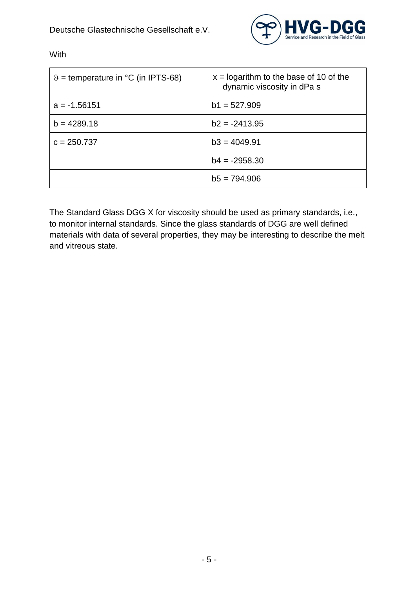

| $\theta$ = temperature in $\degree$ C (in IPTS-68) | $x =$ logarithm to the base of 10 of the<br>dynamic viscosity in dPa s |
|----------------------------------------------------|------------------------------------------------------------------------|
| $a = -1.56151$                                     | $b1 = 527.909$                                                         |
| $b = 4289.18$                                      | $b2 = -2413.95$                                                        |
| $c = 250.737$                                      | $b3 = 4049.91$                                                         |
|                                                    | $b4 = -2958.30$                                                        |
|                                                    | $b5 = 794.906$                                                         |

With

The Standard Glass DGG X for viscosity should be used as primary standards, i.e., to monitor internal standards. Since the glass standards of DGG are well defined materials with data of several properties, they may be interesting to describe the melt and vitreous state.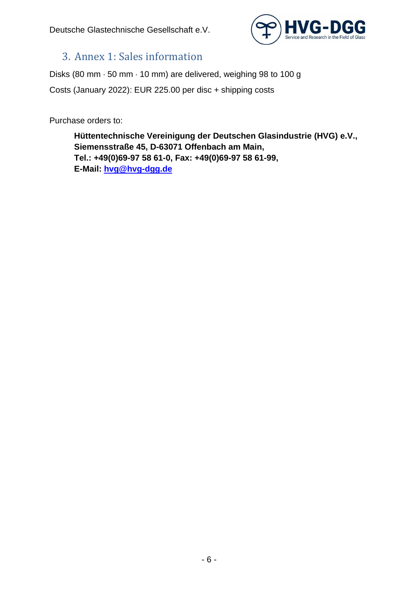

#### <span id="page-5-0"></span>3. Annex 1: Sales information

Disks (80 mm  $\cdot$  50 mm  $\cdot$  10 mm) are delivered, weighing 98 to 100 g Costs (January 2022): EUR 225.00 per disc + shipping costs

Purchase orders to:

**Hüttentechnische Vereinigung der Deutschen Glasindustrie (HVG) e.V., Siemensstraße 45, D-63071 Offenbach am Main, Tel.: +49(0)69-97 58 61-0, Fax: +49(0)69-97 58 61-99, E-Mail: [hvg@hvg-dgg.de](mailto:hvg@hvg-dgg.de)**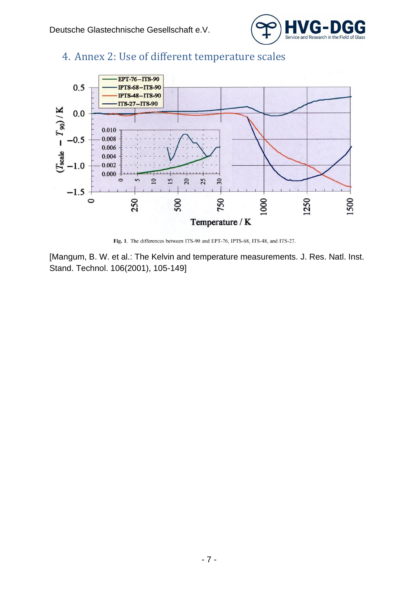

#### <span id="page-6-0"></span>4. Annex 2: Use of different temperature scales



Fig. 1. The differences between ITS-90 and EPT-76, IPTS-68, ITS-48, and ITS-27.

[Mangum, B. W. et al.: The Kelvin and temperature measurements. J. Res. Natl. Inst. Stand. Technol. 106(2001), 105-149]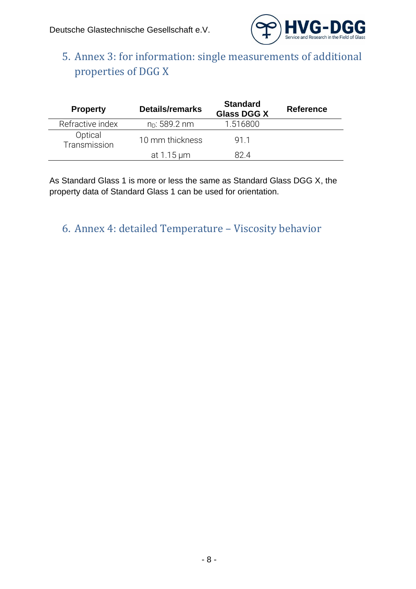

## <span id="page-7-0"></span>5. Annex 3: for information: single measurements of additional properties of DGG X

| <b>Property</b>         | <b>Details/remarks</b>  | <b>Standard</b><br><b>Glass DGG X</b> | <b>Reference</b> |
|-------------------------|-------------------------|---------------------------------------|------------------|
| Refractive index        | $n_D: 589.2 \text{ nm}$ | 1.516800                              |                  |
| Optical<br>Transmission | 10 mm thickness         | 911                                   |                  |
|                         | at 1.15 µm              | 82 4                                  |                  |

As Standard Glass 1 is more or less the same as Standard Glass DGG X, the property data of Standard Glass 1 can be used for orientation.

<span id="page-7-1"></span>6. Annex 4: detailed Temperature – Viscosity behavior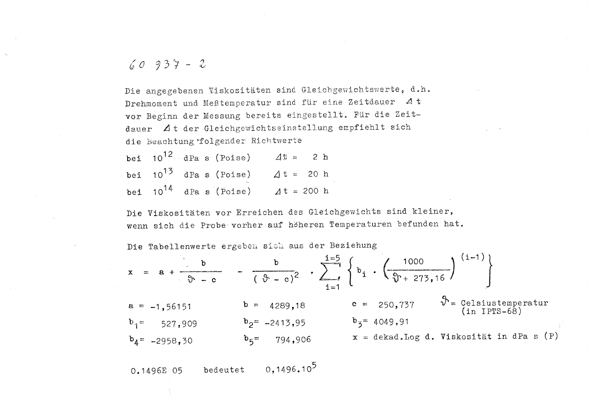$$
60937 - 2
$$

Die angegebenen Viskositäten sind Gleichgewichtswerte, d.h. Drehmoment und Meßtemperatur sind für eine Zeitdauer 4t vor Beginn der Messung bereits eingestellt. Für die Zeitdauer At der Gleichgewichtseinstellung empfiehlt sich die Beachtung folgender Richtwerte

bei  $10^{12}$  dPa s (Poise)  $4\% = 2 h$ bei  $10^{13}$  dPa s (Poise)  $\Delta t = 20$  h bei  $10^{14}$  dPa s (Poise)  $4t = 200$  h

Die Viskositäten vor Erreichen des Gleichgewichts sind kleiner, wenn sich die Probe vorher auf höheren Temperaturen befunden hat.

Die Tabellenwerte ergeben sich aus der Beziehung

$$
x = a + \frac{b}{\vartheta - c} - \frac{b}{(\vartheta - c)^2} \cdot \sum_{i=1}^{i=5} \left\{ b_i \cdot \left( \frac{1000}{\vartheta + 273,16} \right)^{(i-1)} \right\}
$$
  
\n
$$
a = -1,56151 \qquad b = 4289,18 \qquad c = 250,737 \qquad \vartheta = \text{Celsiustemperature}
$$
  
\n
$$
b_1 = 527,909 \qquad b_2 = -2413,95 \qquad b_3 = 4049,91
$$
  
\n
$$
b_4 = -2958,30 \qquad b_5 = 794,906 \qquad x = \text{dekad.log d. Viskositat in dPa s (P)}
$$

0,1496.10<sup>5</sup> 0.1496E 05 bedeutet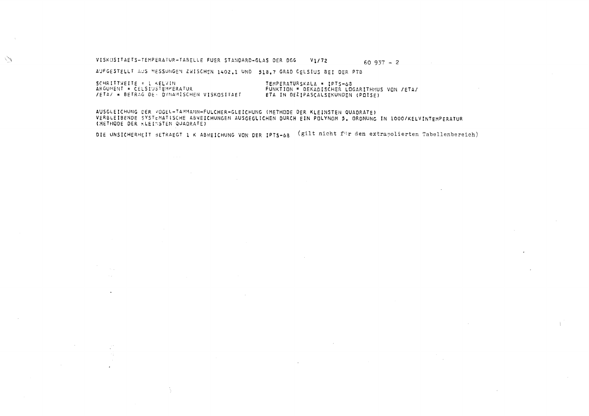#### VISKOSITAETS-TEMPERATUR-TABELLE FUER STANDARD-GLAS DER DGG V1/72  $60937 - 2$

AUFGESTELLT AUS MESSUNGEN ZWISCHEN 1402.1 UND 518.7 GRAD CELSIUS BEI DER PTB

11

SCHRITTWEITE = 1 KELVIN<br>ARGUHENT = CELSIUSTEMPERATUR TEMPERATURSKALA = IPTS-68 FUNKTION = DEKADISCHER LOGARITHMUS VON /ETA/ /ETA/ = BETRAG DE- DYNAMISCHEN VISKOSITAET ETA IN DEZIPASCALSEKUNDEN (POISE)

AUSGLEICHUNG DER VOGEL-TAMMANN-FULCHER-GLEICHUNG (METHODE DER KLEINSTEN QUADRATE) VERBLEIBENDE SYSTEMATISCHE ABWEICHUNGEN AUSGEGLICHEN DURCH EIN POLYNOM 5. ORDNUNG IN 1000/KELVINTEMPERATUR (METHODE DER KLEINSTEN QUADRATE)

DIE UNSICHERHEIT SETRAEGT 1 K ABWEICHUNG VON DER IPTS-68 (gilt nicht für den extrapolierten Tabellenbereich)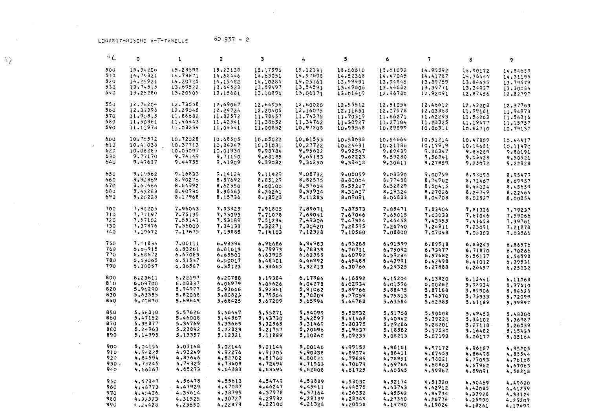$60937 - 2$ LOGARITHMISCHE V-T-TABELLE

| $^{\circ}$ C | ٥        | 1        | 2        | з        | 4                  | 5                  | 6        | 7        | 8        | 9        |
|--------------|----------|----------|----------|----------|--------------------|--------------------|----------|----------|----------|----------|
| 500          | 15.34206 | 15.28698 | 15,23138 | 15,17596 | 15,12131           | 15,06610           | 15.01092 | 14.95592 | 14.90172 | 14.84659 |
| 510          | 14.79321 | 14.73871 | 14,68446 | 14.63051 | 14,57698           | 14.52368           | 14.47045 | 14,41787 | 14.36444 | 14.31195 |
| 520          | 14.25921 | 14.20725 | 14.15482 | 14,10284 | 14.05161           | 13,99991           | 13.94845 | 13,89759 | 13,84635 | 13,79579 |
| 530          | 13.74515 | 13.69522 | 13.64528 | 13,59497 | 13,54591           | 13.49606           | 13.44682 | 13,39771 | 13,34937 | 13,30084 |
| 540          | 13.25280 | 13.20505 | 13.15681 | 13,10896 | 13.06171           | 13,01419           | 12.96780 | 12,92091 | 12.87456 | 12.82797 |
|              |          |          |          |          |                    |                    |          |          |          |          |
| 550          | 12.78204 | 12.73658 | 12,69067 | 12.64536 | 12.60020           | 12.55512           | 12.51054 | 12,46612 | 12.42208 | 12,37763 |
| 560          | 12.33398 | 12.29048 | 12.24724 | 12,20405 | 12,16075           | 12.11851           | 12,07578 | 12,03368 | 11,99161 | 11,94973 |
| 570          | 11.90815 | 11.86682 | 11.82572 | 11.78457 | 11.74375           | 11,70319           | 11.66271 | 11,62293 | 11,58263 | 11.54316 |
| 580          | 11.50361 | 11.46443 | 11,42541 | 11.38652 | 11,34762           | 11,30927           | 11.27104 | 11,23325 | 11,19477 | 11,15757 |
| 590          | 11.11978 | 11.08254 | 11,04541 | 11,00852 | 10,97208           | 10.93548           | 10,89899 | 10,86311 | 10.82710 | 10.79137 |
|              |          |          |          |          |                    |                    |          |          |          |          |
| 600          | 10.75572 | 10.72028 | 10.68505 | 10.65022 | 10.61553           | 10.58098           | 10.54664 | 10.51214 | 10.47809 | 10.44417 |
| 610          | 10.41038 | 10.37713 | 10.34347 | 10,31031 | 10.27722           | 10,24431           | 10.21186 | 10,17919 | 10.14681 | 10,11470 |
| 620          | 10.08285 | 10.05097 | 10.01930 | 9.98784  | 9.95632            | 9.92547            | 9.89439  | 9.86347  | 9.83289  | 9,80191  |
| 630          | 9.77170  | 9.74149  | 9.71150  | 9.68185  | 9.65183            | 9,62223            | 9,59280  | 9,56341  | 9,53428  | 9,50521  |
| 640          | 9,47637  | 9.44755  | 9.41909  | 9,39082  | 9.36250            | 9.33418            | 9.30611  | 9,27859  | 9,25072  | 9,22328  |
|              |          |          |          |          |                    |                    |          |          |          |          |
| 650          | 9.19562  | 9.16833  | 9.14124  | 9.11429  | 9,08732            | 9.06059            | 9.03390  | 9.00759  | 8,98098  | 8.95479  |
| 660          | 8,92869  | 8.90276  | 8.87692  | 8,85129  | 8,82575            | 8,80004            | 8,77488  | 8.74962  | 8,72467  | 8.69957  |
| 670          | 8.67466  | 8.64992  | 8.62550  | 8,60100  | 8.57664            | 8.55227            | 8.52829  | 8.50415  | 8.48024  | 8,45659  |
| 680          | 8.43283  | 8.40936  | 8,38565  | 8,36261  | 8,33934            | 8,31607            | 8,29324  | 8,27026  | 8,24749  | 8.22466  |
| 690          | 8.20228  | 8.17968  | 8.15736  | 8,13523  | 8,11283            | 8.09091            | 8,06883  | 8,04708  | 8.02527  | 8.00354  |
|              |          |          |          |          |                    |                    |          |          |          |          |
| 700          | 7.98205  | 7.96043  | 7.93925  | 7.91805  | 7.89671            | 7.87573            | 7.85471  | 7.83404  | 7,81326  | 7.79237  |
| 710          | 7.77197  | 7.75135  | 7,73093  | 7,71078  | 7.69041            | 7.67046            | 7.65015  | 7.63033  | 7,61046  | 7.59066  |
| 720          | 7.57102  | 7.55141  | 7.53189  | 7.51234  | 7.49306            | 7.47384            | 7.45458  | 7.43555  | 7,41653  | 7,39761  |
| 730          | 7,37876  | 7.36000  | 7.34133  | 7,32271  | 7.30420            | 7.28575            | 7.26740  | 7.24911  | 7,23091  | 7.21278  |
| 740          | 7,19472  | 7.17675  | 7,15885  | 7.14103  | 7.12328            | 7.10560            | 7.08800  | 7.07048  | 7,05303  | 7.03566  |
|              |          |          |          |          |                    |                    |          |          |          |          |
| 750          | 7.01834  | 7.00111  | 6.98394  | 6.96686  | 6.94983            | 6.93288            | 6,91599  | 6.89918  | 6,88243  | 6,86576  |
| 760          | 6.04915  | 6.83261  | 6,81613  | 6,79973  | 6.78339            | 6,76711            | 6,75092  | 6.73477  | 6.71870  | 6.70266  |
| 770          | 6.66672  | 6.67083  | 6,65501  | 6.63925  | 6,62355            | 6,60792            | 6,59234  | 6,57682  | 6,56137  | 6.54598  |
| 780          | 6,53065  | 6.51537  | 6,50017  | 6,48501  | 6,46992            | 6,45488            | 6.43991  | 6.42498  | 6,41012  | 6.39531  |
| 790          | 6,38057  | 6,36587  | 6,35123  | 6.33665  | 0.32213            | 6,30766            | 6.29325  | 6,27888  | 6,26457  | 6.25032  |
| 800          | 6,23611  | 6,22197  | 6.20788  | 6.19384  | 6.17986            | 6.16592            |          |          |          |          |
| 810          | 6.09700  | 6.08337  | 6,06979  | 6.05626  |                    |                    | 6,15204  | 6.13820  | 6.12441  | 6,11068  |
| 820          | 5,96290  | 5,94977  | 5.93666  | 5.92361  | 6.04278<br>5,91062 | 6.02934<br>5.89766 | 6,01596  | 6.00262  | 5,98934  | 5,97610  |
| 830          | 5.83355  | 5.82088  | 5.80823  | 5.79564  | 5,78309            | 5,77059            | 5,88475  | 5.87188  | 5,85906  | 5,84628  |
| 840          | 5,70870  | 5,69645  | 5.68425  | 5.67209  | 5.65996            | 5.64788            | 5.75813  | 5,74570  | 5.73333  | 5.72099  |
|              |          |          |          |          |                    |                    | 5,63584  | 5,62385  | 5,61189  | 5,59997  |
| 850          | 5.58810  | 5.57626  | 5.56447  | 5.55271  | 5.54099            | 5.52932            | 5.51768  | 5,50608  | 5.49453  | 5.48300  |
| 860          | 5.47152  | 5.46008  | 5,44867  | 5.43730  | 5,42597            | 5.41468            | 5,40342  | 5.39220  | 5.38102  | 5.36987  |
| 870          | 5,35877  | 5.34769  | 5,33665  | 5,32565  | 5.31469            | 5,30375            | 5.29286  | 5,28201  | 5,27118  | 5.26039  |
| 880          | 5.24963  | 5.23892  | 5.22823  | 5.21757  | 5,20696            | 5.19637            | 5.18582  | 5.17530  | 5,16482  | 5.15438  |
| 890          | 5,14395  | 5.13357  | 5,12321  | 5.11289  | 5,10260            | 5,09235            | 5,08213  | 5,07193  | 5.06177  |          |
|              |          |          |          |          |                    |                    |          |          |          | 5,05164  |
| 900          | 5,04154  | 5.03148  | 5.02144  | 5.01144  | 5.00146            | 4.99152            | 4,98161  | 4,97172  | 4.96187  | 4,95205  |
| 910          | 4.94225  | 4.93249  | 4.92276  | 4.91305  | 4.90338            | 4.89374            | 4.88411  | 4,87453  | 4,86498  | 4.85544  |
| 920          | 4.84594  | 4.83646  | 4,82702  | 4,81760  | 4,80821            | 4,79885            | 4.78951  | 4.78021  | 4,77093  | 4.76168  |
| 930          | 4.75245  | 4,74325  | 4.73408  | 4,72494  | 4,71583            | 4.70673            | 4.69766  | 4,68863  | 4,67962  | 4,67063  |
| 940          | 4.66167  | 4.65273  | 4.64383  | 4.63494  | 4.62608            | 4,61725            | 4.60845  | 4,59967  | 4,59091  | 4,58218  |
|              |          |          |          |          |                    |                    |          |          |          |          |
| 950          | 4.57347  | 4.56478  | 4.55613  | 4.54749  | 4.53889            | 4.53030            | 4,52174  | 4.51320  | 4.50469  | 4.49620  |
| 960          | 4.48773  | 4.47929  | 4.47087  | 4.46247  | 4.45411            | 4.44575            | 4.43743  | 4.42912  | 4.42085  | 4.41259  |
| 970          | 4.40436  | 4.39614  | 4,38795  | 4.37978  | 4.37164            | 4,36352            | 4,35542  | 4,34734  | 4,33928  | 4.33124  |
| 980          | 4,32323  | 4.31525  | 4,30727  | 4.29932  | 4.29139            | 4,28349            | 4.27560  | 4,26774  | 4.25990  | 4.25207  |
| 990          | 4.24428  | 4.23650  | 4.22873  | 4,22100  | 4.21328            | 4,20558            | 4.19790  | 4.19024  | 4.18261  | 4.17499  |

 $\langle \rangle$ 

 $\label{eq:2.1} \frac{1}{\sqrt{2}}\int_{\mathbb{R}^3} \frac{d\mu}{\sqrt{2}} \left( \frac{d\mu}{\mu} \right)^2 \left( \frac{d\mu}{\mu} \right)^2 \left( \frac{d\mu}{\mu} \right)^2 \left( \frac{d\mu}{\mu} \right)^2 \left( \frac{d\mu}{\mu} \right)^2 \left( \frac{d\mu}{\mu} \right)^2 \left( \frac{d\mu}{\mu} \right)^2 \left( \frac{d\mu}{\mu} \right)^2 \left( \frac{d\mu}{\mu} \right)^2 \left( \frac{d\mu}{\mu} \right)^2 \left( \frac{d$ 

 $\sim 10$ 

 $\mathcal{L}^{\text{max}}_{\text{max}}$ 

 $\sim$   $\alpha$ 

 $\sim 100$ 

 $\sim 10^{-1}$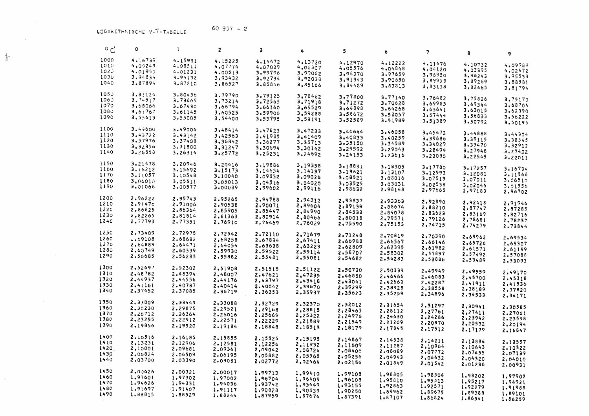$\frac{d^2}{2}$ 

 $\sim$ 

 $\sim$ 

| ہ ن  | ٥         | $\mathbf{1}$ | 2       | Э       | 4       | 5       | 6       | $\overline{\mathbf{z}}$ | 8       | 9       |
|------|-----------|--------------|---------|---------|---------|---------|---------|-------------------------|---------|---------|
| 1000 | 4.16739   | 4.15981      | 4.15225 | 4.14472 | 4.13720 | 4,12970 | 4,12222 | 4.11476                 |         |         |
| 1010 | 4.09249   | 4.08511      | 4.07774 | 4.07039 | 4.06307 | 4.05576 | 4.04848 | 4.04120                 | 4.10732 | 4,09989 |
| 1020 | 4.01950   | 4.01231      | 4.00513 | 3.99796 | 3.99082 | 3,98370 | 3.97659 | 3.96950                 | 4.03395 | 4.02672 |
| 1030 | 3,94834   | 3.94132      | 3.93432 | 3,92734 | 3.92038 | 3,91343 |         |                         | 3.96243 | 3.95538 |
| 1040 | 3.87894   | 3.87210      | 3.86527 | 3,85846 | 3,85166 |         | 3.90650 | 3.89958                 | 3.89269 | 3,88581 |
|      |           |              |         |         |         | 3,84489 | 3,83813 | 3,83138                 | 3,82465 | 3.81794 |
| 1050 | 3.81124   | 3.80456      | 3.79790 | 3.79125 | 3.78462 | 3.77800 | 3,77140 | 3.76482                 | 3,75826 |         |
| 1060 | 3.74517   | 3.73865      | 3,73214 | 3.72565 | 3.71918 | 3.71272 | 3.70628 | 3.69985                 |         | 3,75170 |
| 1070 | 3,68066   | 3.67430      | 3.66794 | 3.66160 | 3.65529 | 3,64898 | 3,64268 | 3.63641                 | 3.69344 | 3.68704 |
| 1080 | 3.61767   | 3.61145      | 3,60525 | 3,59906 | 3,59288 | 3.58672 | 3,58057 |                         | 3.63015 | 3.62390 |
| 1090 | 3.55613   | 3.55005      | 3.54400 | 3,53795 | 3,53191 | 3,52589 |         | 3.57444                 | 3.56833 | 3.56222 |
|      |           |              |         |         |         |         | 3.51989 | 3.51389                 | 3.50792 | 3.50195 |
| 1100 | 3.49600   | 3.49006      | 3.48414 | 3.47823 | 3.47233 | 3.46644 | 3.46058 | 3.45472                 | 3.44888 | 3.44304 |
| 1110 | 3.43722   | 3.43142      | 3.42563 | 3.41985 | 3.41409 | 3,40833 | 3.40259 | 3,39686                 | 3,39115 |         |
| 1120 | 3.37976   | 3.37408      | 3,36842 | 3.36277 | 3,35713 | 3.35150 | 3,34589 | 3,34029                 |         | 3.38545 |
| 1130 | 3.32356   | 3.31800      | 3.31247 | 3.30694 | 3.30142 | 3,29592 | 3.29043 | 3.28494                 | 3.33470 | 3,32912 |
| 1140 | 3.26858   | 3.26314      | 3.25772 | 3.25231 | 3,24692 | 3,24153 | 3.23616 |                         | 3.27948 | 3.27402 |
|      |           |              |         |         |         |         |         | 3,23080                 | 3,22545 | 3,22011 |
| 1150 | 3.21478   | 3.20946      | 3.20416 | 3,19886 | 3,19358 | 3.18831 | 3.18305 | 3.17780                 | 3,17257 |         |
| 1160 | 3.16212   | 3.15692      | 3,15173 | 3.14654 | 3.14137 | 3.13621 | 3,13107 | 3,12593                 | 3.12080 | 3.16734 |
| 1170 | 3.11057   | 3.10548      | 3,10040 | 3.09532 | 3.09026 | 3.08521 | 3.08016 | 3.07513                 |         | 3,11568 |
| 1180 | 3.06010   | 3.05511      | 3.05013 | 3,04516 | 3.04020 | 3.03525 | 3,03031 |                         | 3.07011 | 3.06510 |
| 1190 | 3,01066   | 3.00577      | 3.00089 | 2,99602 | 2.99116 | 2,98632 | 2.98148 | 3,02538                 | 3,02046 | 3.01556 |
|      |           |              |         |         |         |         |         | 2.97665                 | 2.97183 | 2.96702 |
| 1200 | 2.96222   | 2.95743      | 2,95265 | 2.94788 | 2.94312 | 2,93837 | 2.93363 | 2,92890                 |         |         |
| 1210 | 2.91476   | 2.91006      | 2.90538 | 2.90071 | 2.89604 | 2.89139 | 2.88674 | 2,88210                 | 2.92418 | 2.91946 |
| 1220 | 2,86825   | 2.86364      | 2.85905 | 2.85447 | 2.84990 | 2.84533 | 2.84078 | 2,83623                 | 2,87747 | 2.87285 |
| 1230 | 2.82265   | 2.81814      | 2,81363 | 2,80914 | 2,80466 | 2,80018 | 2,79571 |                         | 2,83169 | 2.82716 |
| 1240 | 2.77793   | 2,77351      | 2.76910 | 2.76469 | 2,76029 | 2,75590 |         | 2,79126                 | 2,78681 | 2.78237 |
|      |           |              |         |         |         |         | 2,75153 | 2,74715                 | 2.74279 | 2.73844 |
| 1250 | 2.73409   | 2.72975      | 2,72542 | 2.72110 | 2,71679 | 2.71248 | 2,70819 | 2,70390                 |         |         |
| 1260 | $-.69108$ | 2.68682      | 2,68258 | 2.67834 | 2,67411 | 2,66988 | 2.66567 |                         | 2,69962 | 2,69534 |
| 1270 | 2.64889   | 2.64471      | 2,64054 | 2,63638 | 2,63223 | 2.62809 | 2.62395 | 2.66146                 | 2,65726 | 2,65307 |
| 1280 | 2.60749   | 2.60339      | 2,59930 | 2.59522 | 2.59114 | 2.58707 |         | 2.61982                 | 2.61571 | 2.61159 |
| 1290 | 2.56685   | 2.56283      | 2.55882 | 2.55481 | 2,55081 |         | 2,58302 | 2.57897                 | 2.57492 | 2.57088 |
|      |           |              |         |         |         | 2.54682 | 2.54283 | 2.53886                 | 2,53489 | 2,53093 |
| 1300 | 2,52697   | 2.52302      | 2,51908 | 2,51515 | 2,51122 | 2,50730 | 2.50339 | 2,49949                 | 2,49559 |         |
| 1310 | 2.48782   | 2.48394      | 2,48007 | 2.47621 | 2.47235 | 2.46850 | 2.46466 | 2,46083                 |         | 2.49170 |
| 1320 | 2.44937   | 2.44556      | 2.44176 | 2.43797 | 2.43418 | 2.43041 | 2.42663 | 2.42287                 | 2,45700 | 2.45318 |
| 1330 | 2.41161   | 2.40787      | 2.40414 | 2.40042 | 2,39670 | 2,39299 | 2.38928 |                         | 2,41911 | 2.41536 |
| 1340 | 2.37452   | 2.37085      | 2,36719 | 2.36353 | 2,35987 | 2,35623 | 2.35259 | 2,38558                 | 2,38189 | 2,37820 |
|      |           |              |         |         |         |         |         | 2.34896                 | 2,34533 | 2.34171 |
| 1350 | 2,33809   | 2,33449      | 2.33088 | 2,32729 | 2,32370 | 2.32012 | 2,31654 | 2,31297                 | 2,30941 |         |
| 1360 | 2,30230   | 2.29875      | 2.29521 | 2.29168 | 2.28815 | 2.28463 | 2,28112 | 2,27761                 |         | 2.30585 |
| 1370 | 2.26712   | 2.26364      | 2.26016 | 2.25669 | 2.25322 | 2.24976 | 2.24630 |                         | 3,27411 | 2.27061 |
| 1380 | 2,23255   | 2.22912      | 2.22571 | 2,22229 | 2.21889 | 2,21549 | 2.21209 | 2.24286                 | 2,23942 | 2.23598 |
| 1390 | 2.19856   | 2.19520      | 2.19184 | 2,18848 | 2.18513 | 2.18179 |         | 2.20870                 | 2,20532 | 2,20194 |
|      |           |              |         |         |         |         | 2.17845 | 2.17512                 | 2.17179 | 2.16847 |
| 1400 | 2.10516   | 2.16185      | 2,15855 | 2.15525 | 2.15195 | 2,14867 | 2.14538 | 2.14211                 |         |         |
| 1410 | 2,13231   | 2.12906      | 2.12581 | 2.12256 | 2.11932 | 2.11609 | 2,11287 |                         | 2.13884 | 2.13557 |
| 1420 | 2.10001   | 2.09681      | 2.09361 | 2,09042 | 2.08724 | 2,08406 | 2,08089 | 2,10964                 | 2.10643 | 2.10322 |
| 1430 | 2,06824   | 2.06509      | 2,06195 | 2,05882 | 2,05568 | 2.05256 |         | 2,07772                 | 2,07455 | 2,07139 |
| 1440 | 2,03700   | 2.03390      | 2,03081 | 2.02772 | 2.02464 | 2.02156 | 2.04943 | 2,04632                 | 2,04320 | 2,04010 |
|      |           |              |         |         |         |         | 2,01849 | 2.01542                 | 2.01236 | 2.00931 |
| 1450 | 2,00626   | 2.00321      | 2.00017 | 1,99713 | 1,99410 | 1.99108 | 1.98805 | 1.98504                 | 1,98202 |         |
| 1460 | 1,97601   | 1,97302      | 1,97002 | 1,96704 | 1.96405 | 1,96108 | 1,95810 | 1,95513                 |         | 1,97902 |
| 1470 | 1.94626   | 1.94331      | 1.94036 | 1.93742 | 1.93449 | 1.93155 | 1,92863 | 1,92571                 | 1,95217 | 1.94921 |
| 1480 | 1,91697   | 1.91407      | 1.91117 | 1,90828 | 1,90539 | 1.90250 | 1.89962 |                         | 1.92279 | 1.91988 |
| 1490 | 1,88815   | 1.88529      | 1,88244 | 1.87959 | 1.87674 | 1.87391 |         | 1.89675                 | 1,89388 | 1,89101 |
|      |           |              |         |         |         |         | 1,87107 | 1.86824                 | 1.86541 | 1.86259 |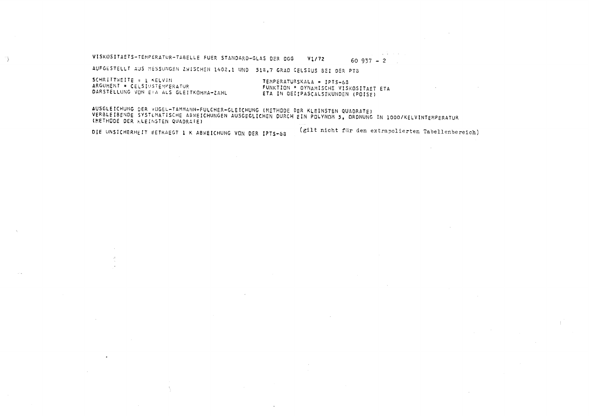VISKOSITAETS-TEMPERATUR-TABELLE FUER STANDARD-GLAS DER DGG  $V1/72$  $60937 - 2$ 

AUFGESTELLT AUS MESSUNGEN ZWISCHEN 1402.1 UND 518.7 GRAD CELSIUS BEI DER PTB

SCHRITTWEITE = 1 KELVIN ARGUMENT = CELSIUSTEMPERATUR DARSTELLUNG VON EIA ALS GLEITKOMMA-ZAHL

÷ş.

TEMPERATURSKALA = IPTS-68 FUNKTION . DYNAMISCHE VISKOSITAET ETA ETA IN DEZIPASCALSEKUNDEN (POISE)

AUSGLEICHUNG DER VOGEL-TAMMANN-FULCHER-GLEICHUNG (METHODE DER KLEINSTEN QUADRATE) VERBLEIBENDE SYSTEMATISCHE ABWEICHUNGEN AUSGEGLICHEN DURCH EIN POLYNOM 5. ORDNUNG IN 1000/KELVINTEMPERATUR (METHODE DER KLEINSTEN QUADRATE)

DIE UNSICHERHEIT BETRAEGT 1 K ABWEICHUNG VON DER IPTS-68

(gilt nicht für den extrapolierten Tabellenbereich)

and the state of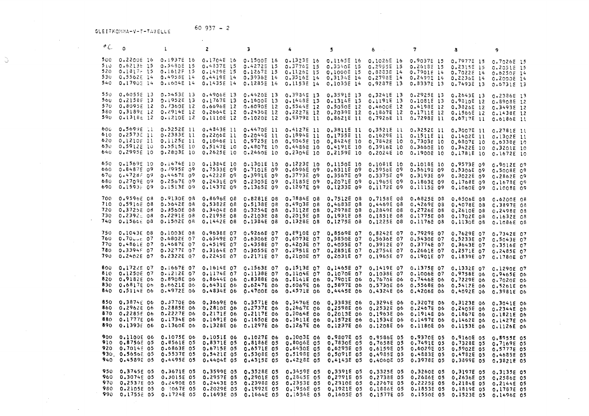$60937 - 2$ GLEITKOMHA-V-T-TABELLE

 $\sim 100$  km s  $^{-1}$ 

 $\tilde{\omega}$ 

 $\sim 10^7$ 

 $\sim 10$ 

 $\mathcal{L}(\mathcal{L}(\mathcal{L}(\mathcal{L}(\mathcal{L}(\mathcal{L}(\mathcal{L}(\mathcal{L}(\mathcal{L}(\mathcal{L}(\mathcal{L}(\mathcal{L}(\mathcal{L}(\mathcal{L}(\mathcal{L}(\mathcal{L}(\mathcal{L}(\mathcal{L}(\mathcal{L}(\mathcal{L}(\mathcal{L}(\mathcal{L}(\mathcal{L}(\mathcal{L}(\mathcal{L}(\mathcal{L}(\mathcal{L}(\mathcal{L}(\mathcal{L}(\mathcal{L}(\mathcal{L}(\mathcal{L}(\mathcal{L}(\mathcal{L}(\mathcal{L}(\mathcal{L}(\mathcal{$ 

| $^{\circ}$ C              | 0                                                                     | $\bf{I}$                                                                                                                                                                                                                 | $\overline{c}$                                                     | З                                                                                                                      | 裔                                                                                                                                                                                           | 5                                                                  | 6.                                                                                                                                                                                                                | 7                                                                                                | 8                                                                                                                                                                                                                                       | 9                                                                                                              |
|---------------------------|-----------------------------------------------------------------------|--------------------------------------------------------------------------------------------------------------------------------------------------------------------------------------------------------------------------|--------------------------------------------------------------------|------------------------------------------------------------------------------------------------------------------------|---------------------------------------------------------------------------------------------------------------------------------------------------------------------------------------------|--------------------------------------------------------------------|-------------------------------------------------------------------------------------------------------------------------------------------------------------------------------------------------------------------|--------------------------------------------------------------------------------------------------|-----------------------------------------------------------------------------------------------------------------------------------------------------------------------------------------------------------------------------------------|----------------------------------------------------------------------------------------------------------------|
| 540                       |                                                                       | 500 0.2200E 16 0.1937E 16 0.1704E 16 0.1500E 16 0.1323E 16 0.1165E 16 0.1026E 16 0.9037E 15 0.7977E 15<br>510 0.62135 15 0.54808 15<br>520 0.1817 15 0.1612F 15<br>530 0.5562E 14 0.4958E 14<br>0.17905 14 0.1604E 14    |                                                                    | 0.4837E 15 0.4272E 15<br>0.1429E 15 0.1267E 15<br>0.4419E 14 0.3936E 14<br>0.1435E 14 0.1285E 14                       |                                                                                                                                                                                             | 0.1126E 15 0.1000E 15                                              | 0.37768 15 0.33402 15 0.29558 15 0.26188 15 0.23158 15<br>0.8883E 14<br>0.3516E 14 0.3134E 14 0.2798E 14 0.2499E 14 0.2236E 14<br>0.1153E 14 0.1033E 14 0.9287E 13 0.8337E 13                                     | 0.7901E 14 0.7022E 14                                                                            | 0.7493E 13                                                                                                                                                                                                                              | 0.7026E 15<br>0.20518 15<br>0.6250E 14<br>0.2000E 14<br>$0.6731E$ 13                                           |
| 550                       | 0.6055E 13                                                            | $0.5453E$ 13<br>560 0.2158E 13 0.1952E 13<br>570 0.8095E 12 0.7360E 12<br>580 0,31895 12 0.2914E 12 0.2664E 12 0.2436E 12<br>590 0.1318E 12 0.1210E 12 0.1110E 12 0.1020E 12 0.9379E 11 0.8621E 11 0.7926E 11 0.7298E 11 |                                                                    | 0.4906E 13 0.4420E 13<br>0.1767E 13 0.1600E 13                                                                         | 0.6696E 12 0.6090E 12 0.5544E 12 0.5050E 12 0.4600E 12 0.4198E 12 0.3826E 12 0.3493E 12                                                                                                     |                                                                    | 0.39845 13 0.35915 13 0.32415 13 0.29256 13<br>0.1448E 13 0.1314E 13 0.1191E 13 0.1081E 13<br>0.2227E 12 0.2039E 12 0.1867E 12 0.1711E 12 0.1566E 12 0.1438E 12                                                   |                                                                                                  | 0.6717E 11 0.6186E 11                                                                                                                                                                                                                   | 0.2643E 13 0.2386E 13<br>0.9810E 12 0.8908E 12                                                                 |
| 600.<br>630.<br>640       | $610 \t 0.2573511$<br>620 $0.1210E11$<br>0,59122 10<br>0.29956 10     | 0.5699E 11 0.5252E 11<br>$0.2333E$ 11<br>0.1125E 11<br>0.5515E 10<br>0.2803E 10                                                                                                                                          |                                                                    | 0.4843E 11 0.4470E 11<br>0.1046E 11 0.9725E 10 0.9045E 10<br>0.5147E 10 0.4807E 10 0.4486E 10<br>0.2625E 10 0.2460E 10 | 0.4127E 11<br>0.2206E 11 0.2044E 11 0.1894E 11<br>0.2304E 10                                                                                                                                | 0,38115 11<br>0.1755E 11<br>0.8424E 10<br>0.41915 10<br>0,2159E 10 | 0,3521E 11 0.3252E 11<br>0.1629E 11 0.1511E 11 0.1402E 11 0.1302E 11<br>0.7842E 10 0.7303E 10 0.6807E 10 0.6338E 10<br>0.3916E 10 0.3660E 10 0.3422E 10 0.3201E 10<br>0.2024E 10 0.1900E 10 0.1781E 10 0.1672E 10 |                                                                                                  |                                                                                                                                                                                                                                         | 0.3007E 11 0.2781E 11                                                                                          |
| 660<br>670.<br>680<br>690 | 0.84875 09<br>0.47287.09<br>0.2709E 09                                | 650 0.1569E 10 0.1474E 10<br>0.7995E 09<br>0.4467E 09<br>0.2567E 09<br>0.15938 09 0.1513E 09                                                                                                                             | 0,7533E 09                                                         | 0.1384E 10 0.1301E 10<br>0.7101E 09<br>0.4222E 09 0.3991E 09                                                           | 0.12235 10<br>0,6696E 09<br>0,2431E 09 0.2305E 09 0.2185E 09 0.2071E 09<br>0.1437E 09 0.1365E 09 0.1297E 09 0.1233E 09                                                                      | $0.1150E$ 10<br>0,6311E 09<br>0.3773E 09 0.3567E 09                | 0.1081E 10<br>0.5956E 09<br>0.3375E 09 0.3193E 09<br>0.1965E 09 0.1863E 09<br>0.11728 09 0.11158 09                                                                                                               | 0.1018E 10<br>0.56198 09                                                                         | 0.95738 09<br>0.5306E 09<br>0.1060E 09                                                                                                                                                                                                  | 0.9012E 09<br>0.5008E 09<br>0.3022E 09 0.2862E 09<br>0,1768E 09 0.1678E 09<br>0.100BE 09                       |
| 700                       | 0.9596E 08<br>710 0.5916E 08<br>720 0.3725E 08                        | 0.9130E 08<br>O.5642E OB<br>0.3560E 08<br>730 0.2392 08 0.2291E 08<br>740 0.1566E 08 0.1502E 0B                                                                                                                          |                                                                    | 0.8696E 08  0.8281E 08                                                                                                 | 0,5382E 08  0.5138E 08  0.4903E 08  0.4683E 08<br>0.3404E 08 0.3254E 08 0.3112E 08 0.2978E 08<br>0,2195E 08 0.2103E 08 0,2015E 08 0,1931E 08<br>0.1442E 08 0.1384E 08 0.1328E 08 0.1275E 08 | 0.7884E 08 0.7512E 08                                              | 0.7158E 08<br>0.2849E 08 0.2726E 08 0.2610E 08 0.2498E 08<br>0,1851E 08                                                                                                                                           | 0,6825E 08<br>0,4469E 08 0.4269E 08<br>0.1775E 08                                                | 0.6506E 08<br>0.4078E 08<br>0.1702E 08 0.1632E 08<br>0,1225E 08 0.1176E 08 0.1130E 08                                                                                                                                                   | 0.6200E 08<br>C.3897E 08<br>0.1086E QS                                                                         |
| 780<br>790                | 750 0,1043E 08<br>$760 - 0.70$ cuc 07<br>770 0.4861E 07<br>0.3394F 07 | 0.1003E 08<br>0.6802E 07<br>0.4687E 07<br>0.32776 07<br>0.2402E 07 0.2322E 07 0.2245E 07 0.2171E 07 0.2100E 07 0.2031E 07                                                                                                |                                                                    | 0.9638E 07 0.9266E 07<br>0.4519E 07 0.4358E 07                                                                         | 0.8910E 07<br>0.6549E 07 0.6306E 07 0.6073E 07 0.5850E 07<br>0.3164E 07 0.3055E 07 0.2951E 07 0.2851E 07                                                                                    | O.8569E O7<br>0.4203E 07 0.4055E 07                                | 0.8242E 07<br>0.1965E 07 0.1901E 07                                                                                                                                                                               | 0.7929E 07<br>0.5636E 07 0.5430E 07<br>0.3912E 07 0.3774E 07<br>0.2754E 07 0.2661E 07            | 0.7629E 07                                                                                                                                                                                                                              | 0.7342E 07<br>0.5233E 07 0.5043E 07<br>0.3643E 07 0.3516E 07<br>0.2571E 07 0.2485E 07<br>0.1839E 07 0.1780E 07 |
| 810<br>830<br>840         | 0.1250E 07<br>820 0.9182E 06<br>$0.6817E$ 06<br>0.5114E 06            | 800 0.1722E 07 0.1667E 07<br>0.1212E 07<br>O.8908E 06<br>0.6621E 06<br>0.49725 06                                                                                                                                        | 0.6431E 06                                                         | 0.1614E 07 0.1563E 07<br>0.1174E 07 0.1138E 07<br>O.6247E O6<br>0.4834E 06 0.4700E 06                                  | 0.1513E 07<br>0.1104E 07<br>0,8644E 06 0.8388E 06 0.8141E 06 0.7901E 06<br>0.6069E 06<br>0.4571E 06                                                                                         | 0.1465E 07<br>0.1070E 07<br>0.5897E 06<br>0.44458 06               | 0.1419E 07<br>0.1038E 07                                                                                                                                                                                          | 0.1375E 07<br>0.1006E 07<br>0.5730E 06 0.5568E 06 0.5412E 06<br>0,4324E 06 0.4206E 06 0.4092E 06 | 0,1332E 07<br>0.9758E 06<br>0.7670E 06 0.7446E 06 0.7229E 06 0.7020E 06                                                                                                                                                                 | 0.1290E 07<br>0.9465E 06<br>0.5261E 06<br>0.3981E 06                                                           |
| 850<br>870<br>890         | 0.3874E 06<br>860 0.2962E 06<br>0.2285E 06<br>0.1393E 06              | 0.3770E 06<br>0.2885E 06<br>0.2227E 06<br>880 0.1777E 06 0.1734E 06<br>0.1360E 06                                                                                                                                        |                                                                    | 0.1691E 06 0.1650E 06 0.1611E 06<br>0.1328E 06 0.1297E 06                                                              | 0.3669E 06 0.3571E 06 0.3476E 06 0.3383E 06<br>0.2810E 06 0.2737E 06 0.2667E 06 0.2598E 06<br>0.2171E 06 0.2117E 06 0.2064E 06 0.2013E 06                                                   | 0,1572E 06<br>0.1267E 06 0.1237E 06                                |                                                                                                                                                                                                                   |                                                                                                  | 0,3294E 06 0.3207E 06 0.3123E 06 0.3041E 06<br>0.2532E 06 0.2467E 06 0.2405E 06 0.2344E 05<br>0.1963E 06 0.1914E 06 0.1867E 06 0.1821E 06<br>0,1534E 06 0.1497E 06 0,1462E 06 0.1427E 06<br>0.1208E 06 0.1180E 06 0.1153E 06 0.1126E 06 |                                                                                                                |
| 900                       | 0.1100E 06<br>910 0.87565 05<br>920. 0.7014E 05<br>930, 0.5656E 05    | 0.1075E 06<br>0.8561E 05<br>0.6863E 05<br>0.5537E 05<br>940 0.4589E 05 0.4495E 05                                                                                                                                        | 0.1051E 06<br>0,8371E 05<br>0.6715E 05<br>0.5421E 05<br>0.4404E 05 | 0.1027E 06<br>0.81865 05<br>0.65718 05<br>O.5308E 05<br>0.43155 05                                                     | 0.1003E 06<br>0.80065 05<br>0.6430E 05<br>0.51985 05<br>0.42288 05                                                                                                                          | 0.98078 05<br>0.7830E 05<br>0.6293E 05<br>0.5091E 05<br>0.41438 05 | 0.9586E 05<br>0.76585 05<br>0.61595 05<br>0.49855 05                                                                                                                                                              | 0.9370E 05<br>0.7491E 05<br>0.60298 03<br>0.48835 05<br>0.4060E 05 0.3978E 05                    | 0.9160E 05<br>0.7328E 05<br>0,5902E 05<br>0.4782E 05<br>0.3899E 05                                                                                                                                                                      | 0.89552 05<br>0,7169E 05<br>0.57778 05<br>0.4685E 05<br>0.38218 05                                             |
| 990                       | 960 0.3074E 05<br>970 0.2537E 05<br>980 0.2105E 05<br>0.1755£ 05      | 950 0.3745E 05 0.3671E 05<br>0.3015E 05<br>0.2490E 05<br>0 3067E 05<br>0.1724E 05                                                                                                                                        | 0.35998 05<br>0.2957E 05                                           | 0.3528E 05<br>0.2901E 05<br>0.2443E 05 0.2398E 05<br>0.2029E 05 0.1992E 05                                             | 0.3459E 05<br>0.2845E 05<br>0.2353E 05<br>0.1956E 05<br>0.1693E 05 0.1664E 05 0.1634E 05 0.1605E 05 0.1577E 05 0.1550E 05 0.1523E 05                                                        | 0.33918 05<br>0.2791E 05<br>0.2310E 05<br>0,1921E 05               | 0.3325E 05<br>0,2738E 05                                                                                                                                                                                          | 0.3260E 05<br>0.2686E 05                                                                         | 0.3197E 05<br>0,2636E 05 0.2586E 05<br>0.2267E 05 0.2225E 05 0.2184E 05 0.2144E 05<br>0.1886E 05 0.1853E 05 0.1819E 05 0.1787E 05                                                                                                       | 0.3135E 05<br>O.1496E O5                                                                                       |